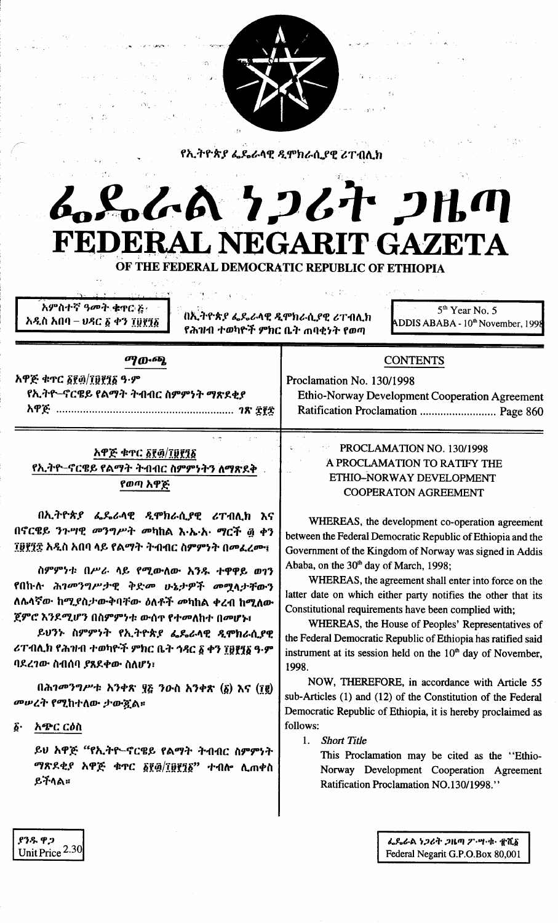

የኢትዮጵያ ፌዴራላዊ ዲሞክራሲያዊ ሪፐብሊክ

# んぺんへ フィオ コル FEDERAL NEGARIT GAZETA

OF THE FEDERAL DEMOCRATIC REPUBLIC OF ETHIOPIA

 $\mathcal{F}(\mathcal{F}) \stackrel{\text{def}}{=} \mathcal{F}(\mathcal{F})$ 

አምስተኛ ዓመት ቁዋር ጅ አዲስ አበባ – ህዳር ፩ ቀን ፲፱፻፺፩

በኢትዮጵያ ፌዴራላዊ ዲሞክራሲያዊ ሪፐብሊክ የሕዝብ ተወካዮች ምክር ቤት ጠባቂነት የወጣ

5<sup>th</sup> Year No. 5 ADDIS ABABA - 10<sup>th</sup> November, 1998

#### ማውጭ,

አዋጅ ቁጥር ፩፻፴/፲፱፻፺፩ ዓ.ም የኢትዮ–ኖርዌይ የልማት ትብብር ስምምነት ማጽደቂያ 

### **CONTENTS**

Proclamation No. 130/1998 Ethio-Norway Development Cooperation Agreement Ratification Proclamation ............................ Page 860

## አዋጅ ቁጥር ፩፻፴/፲፱፻፺፩ የኢትዮ–ኖርዌይ የልማት ትብብር ስምምነትን ለማጽደቅ የወጣ አዋጅ

በኢትዮጵያ ፌዴራላዊ ዲሞክራሲያዊ ሪፐብሊክ እና በኖርዌይ ንጉሣዊ መንግሥት መካከል እ·ኤ·አ· ማርች ፴ ቀን ፲፱፻፺፰ አዲስ አበባ ላይ የልማት ትብብር ስምምነት በመፈረሙ፤

ስምምነቱ በሥራ ላይ የሚውለው አንዱ ተዋዋይ ወገን የበኩሉ ሕገመንግሥታዊ ቅድመ ሁኔታዎች መሚላታቸውን ለሴላኛው ከሚያስታውቅባቸው ዕለቶች መካከል ቀረብ ከሚለው ጀምሮ እንደሚሆን በስምምነቱ ውስጥ የተመለከተ በመሆኑ፣

ይህንኑ ስምምነት የኢትዮጵያ ፌዴራላዊ ዲሞክራሲያዊ ሪፐብሊክ የሕዝብ ተወካዮች ምክር ቤት ኅዳር ፩ ቀን ፲፱፻፶፩ ዓ·ም ባደረገው ስብሰባ ያጸደቀው ስለሆን፣

በሕገመንግሥቱ አንቀጽ ፶፩ ንውስ አንቀጽ  $(\delta)$  እና (፲፪) መሠረት የሚከተለው ታውጇል።

 $\boldsymbol{\delta}$ . አጭር ርዕስ

ያንዱ ዋጋ

Unit Price  $2.30$ 

ይህ አዋጅ "የኢትዮ–ኖርዌይ የልማት ትብብር ስምምነት ማጽደቂያ አዋጅ ቁጥር ፩፻፴/፲፱፻፺፩" ተብሎ ሲጠቀስ ይችላል።

## PROCLAMATION NO. 130/1998 A PROCLAMATION TO RATIFY THE ETHIO-NORWAY DEVELOPMENT **COOPERATON AGREEMENT**

WHEREAS, the development co-operation agreement between the Federal Democratic Republic of Ethiopia and the Government of the Kingdom of Norway was signed in Addis Ababa, on the 30<sup>th</sup> day of March, 1998;

WHEREAS, the agreement shall enter into force on the latter date on which either party notifies the other that its Constitutional requirements have been complied with;

WHEREAS, the House of Peoples' Representatives of the Federal Democratic Republic of Ethiopia has ratified said instrument at its session held on the 10<sup>th</sup> day of November, 1998.

NOW, THEREFORE, in accordance with Article 55 sub-Articles (1) and (12) of the Constitution of the Federal Democratic Republic of Ethiopia, it is hereby proclaimed as follows:

1. Short Title

This Proclamation may be cited as the "Ethio-Norway Development Cooperation Agreement Ratification Proclamation NO.130/1998."